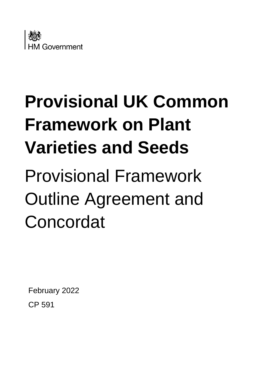

## **Provisional UK Common Framework on Plant Varieties and Seeds** Provisional Framework Outline Agreement and

# **Concordat**

February 2022 CP 591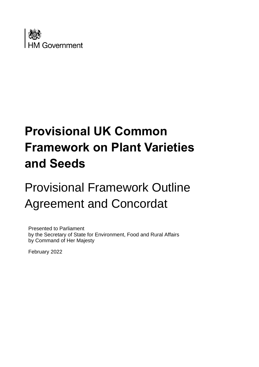

## **Provisional UK Common Framework on Plant Varieties and Seeds**

## Provisional Framework Outline Agreement and Concordat

Presented to Parliament by the Secretary of State for Environment, Food and Rural Affairs by Command of Her Majesty

February 2022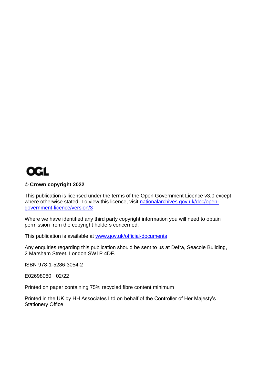

#### **© Crown copyright 2022**

This publication is licensed under the terms of the Open Government Licence v3.0 except where otherwise stated. To view this licence, visit [nationalarchives.gov.uk/doc/open](http://nationalarchives.gov.uk/doc/open-government-licence/version/3/)[government-licence/version/3](http://nationalarchives.gov.uk/doc/open-government-licence/version/3/)

Where we have identified any third party copyright information you will need to obtain permission from the copyright holders concerned.

This publication is available at [www.gov.uk/official-documents](http://www.gov.uk/official-documents)

Any enquiries regarding this publication should be sent to us at Defra, Seacole Building, 2 Marsham Street, London SW1P 4DF.

ISBN 978-1-5286-3054-2

E02698080 02/22

Printed on paper containing 75% recycled fibre content minimum

Printed in the UK by HH Associates Ltd on behalf of the Controller of Her Majesty's Stationery Office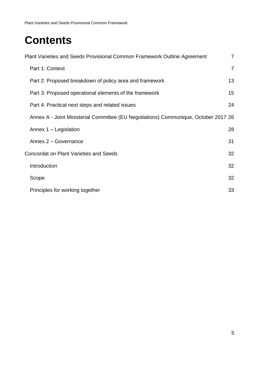### **Contents**

| Plant Varieties and Seeds Provisional Common Framework Outline Agreement            | $\overline{7}$ |
|-------------------------------------------------------------------------------------|----------------|
| Part 1: Context                                                                     | $\overline{7}$ |
| Part 2: Proposed breakdown of policy area and framework                             | 13             |
| Part 3: Proposed operational elements of the framework                              | 15             |
| Part 4: Practical next steps and related issues                                     | 24             |
| Annex A - Joint Ministerial Committee (EU Negotiations) Communique, October 2017 26 |                |
| Annex 1 - Legislation                                                               | 28             |
| Annex 2 - Governance                                                                | 31             |
| <b>Concordat on Plant Varieties and Seeds</b>                                       | 32             |
| Introduction                                                                        | 32             |
| Scope                                                                               | 32             |
| Principles for working together                                                     | 33             |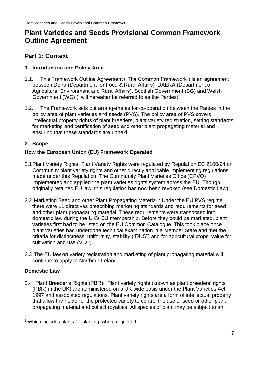#### <span id="page-5-0"></span>**Plant Varieties and Seeds Provisional Common Framework Outline Agreement**

#### <span id="page-5-1"></span>**Part 1: Context**

#### **1. Introduction and Policy Area**

- 1.1. This Framework Outline Agreement ("The Common Framework") is an agreement between Defra (Department for Food & Rural Affairs), DAERA (Department of Agriculture, Environment and Rural Affairs), Scottish Government (SG) and Welsh Government (WG) (' will hereafter be referred to as the Parties)'
- 1.2. The Framework sets out arrangements for co-operation between the Parties in the policy area of plant varieties and seeds (PVS). The policy area of PVS covers intellectual property rights of plant breeders, plant variety registration, setting standards for marketing and certification of seed and other plant propagating material and ensuring that these standards are upheld.

#### **2. Scope**

#### **How the European Union (EU) Framework Operated**

- 2.1Plant Variety Rights: Plant Variety Rights were regulated by [Regulation EC 2100/94](https://eur-lex.europa.eu/legal-content/EN/ALL/?uri=CELEX:31994R2100) on Community plant variety rights and other directly applicable implementing regulations made under this Regulation. The Community Plant Varieties Office (CPVO) implemented and applied the plant varieties rights system across the EU. Though originally retained EU law, this regulation has now been revoked (see Domestic Law).
- 2.2 Marketing Seed and other Plant Propagating Material<sup>1</sup>: Under the EU PVS regime there were 11 directives prescribing marketing standards and requirements for seed and other plant propagating material. These requirements were transposed into domestic law during the UK's EU membership. Before they could be marketed, plant varieties first had to be listed on the EU Common Catalogue. This took place once plant varieties had undergone technical examination in a Member State and met the criteria for distinctness, uniformity, stability ("DUS") and for agricultural crops, value for cultivation and use (VCU).
- 2.3 The EU law on variety registration and marketing of plant propagating material will continue to apply to Northern Ireland.

#### **Domestic Law**

2.4 Plant Breeder's Rights (PBR): Plant variety rights (known as plant breeders' rights (PBR) in the UK) are administered on a UK wide basis under the Plant Varieties Act 1997 and associated regulations. Plant variety rights are a form of intellectual property that allow the holder of the protected variety to control the use of seed or other plant propagating material and collect royalties. All species of plant may be subject to an

<sup>&</sup>lt;sup>1</sup> Which includes plants for planting, where regulated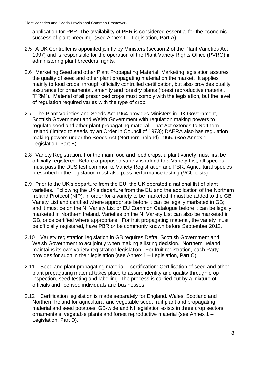application for PBR. The availability of PBR is considered essential for the economic success of plant breeding. (See Annex 1 – Legislation, Part A).

- 2.5 A UK Controller is appointed jointly by Ministers (section 2 of the Plant Varieties Act 1997) and is responsible for the operation of the Plant Variety Rights Office (PVRO) in administering plant breeders' rights.
- 2.6 Marketing Seed and other Plant Propagating Material: Marketing legislation assures the quality of seed and other plant propagating material on the market. It applies mainly to food crops, through officially controlled certification, but also provides quality assurance for ornamental, amenity and forestry plants (forest reproductive material, "FRM"). Material of all prescribed crops must comply with the legislation, but the level of regulation required varies with the type of crop.
- 2.7 The Plant Varieties and Seeds Act 1964 provides Ministers in UK Government, Scottish Government and Welsh Government with regulation making powers to regulate seed and other plant propagating material. That Act extends to Northern Ireland (limited to seeds by an Order in Council of 1973); DAERA also has regulation making powers under the Seeds Act (Northern Ireland) 1965. (See Annex 1 – Legislation, Part B).
- 2.8 Variety Registration: For the main food and feed crops, a plant variety must first be officially registered. Before a proposed variety is added to a Variety List, all species must pass the DUS test common to Variety Registration and PBR. Agricultural species prescribed in the legislation must also pass performance testing (VCU tests).
- 2.9 Prior to the UK's departure from the EU, the UK operated a national list of plant varieties. Following the UK's departure from the EU and the application of the Northern Ireland Protocol (NIP), in order for a variety to be marketed it must be added to the GB Variety List and certified where appropriate before it can be legally marketed in GB; and it must be on the NI Variety List or EU Common Catalogue before it can be legally marketed in Northern Ireland. Varieties on the NI Variety List can also be marketed in GB, once certified where appropriate. For fruit propagating material, the variety must be officially registered, have PBR or be commonly known before September 2012.
- 2.10 Variety registration legislation in GB requires Defra, Scottish Government and Welsh Government to act jointly when making a listing decision. Northern Ireland maintains its own variety registration legislation. For fruit registration, each Party provides for such in their legislation (see Annex 1 – Legislation, Part C).
- 2.11 Seed and plant propagating material certification: Certification of seed and other plant propagating material takes place to assure identity and quality through crop inspection, seed testing and labelling. The process is carried out by a mixture of officials and licensed individuals and businesses.
- 2.12 Certification legislation is made separately for England, Wales, Scotland and Northern Ireland for agricultural and vegetable seed, fruit plant and propagating material and seed potatoes. GB-wide and NI legislation exists in three crop sectors: ornamentals, vegetable plants and forest reproductive material (see Annex 1 – Legislation, Part D).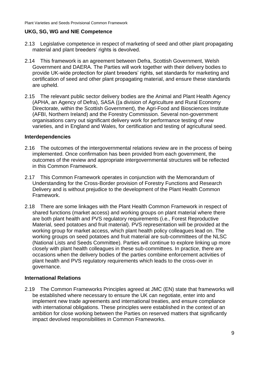#### **UKG, SG, WG and NIE Competence**

- 2.13 Legislative competence in respect of marketing of seed and other plant propagating material and plant breeders' rights is devolved.
- 2.14 This framework is an agreement between Defra, Scottish Government, Welsh Government and DAERA. The Parties will work together with their delivery bodies to provide UK-wide protection for plant breeders' rights, set standards for marketing and certification of seed and other plant propagating material, and ensure these standards are upheld.
- 2.15 The relevant public sector delivery bodies are the Animal and Plant Health Agency (APHA, an Agency of Defra), SASA ((a division of Agriculture and Rural Economy Directorate, within the Scottish Government), the Agri-Food and Biosciences Institute (AFBI, Northern Ireland) and the Forestry Commission. Several non-government organisations carry out significant delivery work for performance testing of new varieties, and in England and Wales, for certification and testing of agricultural seed.

#### **Interdependencies**

- 2.16 The outcomes of the intergovernmental relations review are in the process of being implemented. Once confirmation has been provided from each government, the outcomes of the review and appropriate intergovernmental structures will be reflected in this Common Framework.
- 2.17 This Common Framework operates in conjunction with the Memorandum of Understanding for the Cross-Border provision of Forestry Functions and Research Delivery and is without prejudice to the development of the Plant Health Common Framework.
- 2.18 There are some linkages with the Plant Health Common Framework in respect of shared functions (market access) and working groups on plant material where there are both plant health and PVS regulatory requirements (i.e., Forest Reproductive Material, seed potatoes and fruit material). PVS representation will be provided at the working group for market access, which plant health policy colleagues lead on. The working groups on seed potatoes and fruit material are sub-committees of the NLSC (National Lists and Seeds Committee). Parties will continue to explore linking up more closely with plant health colleagues in these sub-committees. In practice, there are occasions when the delivery bodies of the parties combine enforcement activities of plant health and PVS regulatory requirements which leads to the cross-over in governance.

#### **International Relations**

2.19 The Common Frameworks Principles agreed at JMC (EN) state that frameworks will be established where necessary to ensure the UK can negotiate, enter into and implement new trade agreements and international treaties, and ensure compliance with international obligations. These principles were established in the context of an ambition for close working between the Parties on reserved matters that significantly impact devolved responsibilities in Common Frameworks.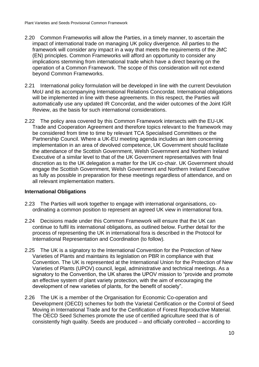- 2.20 Common Frameworks will allow the Parties, in a timely manner, to ascertain the impact of international trade on managing UK policy divergence. All parties to the framework will consider any impact in a way that meets the requirements of the JMC (EN) principles. Common Frameworks will afford an opportunity to consider any implications stemming from international trade which have a direct bearing on the operation of a Common Framework. The scope of this consideration will not extend beyond Common Frameworks.
- 2.21 International policy formulation will be developed in line with the current Devolution MoU and its accompanying International Relations Concordat. International obligations will be implemented in line with these agreements. In this respect, the Parties will automatically use any updated IR Concordat, and the wider outcomes of the Joint IGR Review, as the basis for such international considerations.
- 2.22 The policy area covered by this Common Framework intersects with the EU-UK Trade and Cooperation Agreement and therefore topics relevant to the framework may be considered from time to time by relevant TCA Specialised Committees or the Partnership Council. Where a UK-EU meeting agenda includes an item concerning implementation in an area of devolved competence, UK Government should facilitate the attendance of the Scottish Government, Welsh Government and Northern Ireland Executive of a similar level to that of the UK Government representatives with final discretion as to the UK delegation a matter for the UK co-chair. UK Government should engage the Scottish Government, Welsh Government and Northern Ireland Executive as fully as possible in preparation for these meetings regardless of attendance, and on all relevant implementation matters.

#### **International Obligations**

- 2.23 The Parties will work together to engage with international organisations, coordinating a common position to represent an agreed UK view in international fora.
- 2.24 Decisions made under this Common Framework will ensure that the UK can continue to fulfil its international obligations, as outlined below. Further detail for the process of representing the UK in international fora is described in the Protocol for International Representation and Coordination (to follow)*.*
- 2.25 The UK is a signatory to the International Convention for the Protection of New Varieties of Plants and maintains its legislation on PBR in compliance with that Convention. The UK is represented at the International Union for the Protection of New Varieties of Plants (UPOV) council, legal, administrative and technical meetings. As a signatory to the Convention, the UK shares the UPOV mission to "provide and promote an effective system of plant variety protection, with the aim of encouraging the development of new varieties of plants, for the benefit of society".
- 2.26 The UK is a member of the Organisation for Economic Co-operation and Development (OECD) schemes for both the Varietal Certification or the Control of Seed Moving in International Trade and for the Certification of Forest Reproductive Material. The OECD Seed Schemes promote the use of certified agriculture seed that is of consistently high quality. Seeds are produced – and officially controlled – according to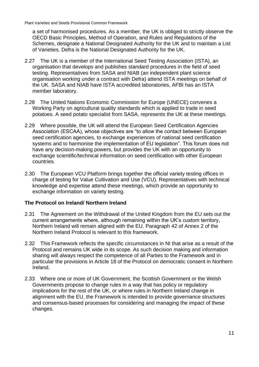a set of harmonised procedures. As a member, the UK is obliged to strictly observe the OECD Basic Principles, Method of Operation, and Rules and Regulations of the Schemes, designate a National Designated Authority for the UK and to maintain a List of Varieties. Defra is the National Designated Authority for the UK.

- 2.27 The UK is a member of the International Seed Testing Association (ISTA), an organisation that develops and publishes standard procedures in the field of seed testing. Representatives from SASA and NIAB (an independent plant science organisation working under a contract with Defra) attend ISTA meetings on behalf of the UK. SASA and NIAB have ISTA accredited laboratories, AFBI has an ISTA member laboratory.
- 2.28 The United Nations Economic Commission for Europe (UNECE) convenes a Working Party on agricultural quality standards which is applied to trade in seed potatoes. A seed potato specialist from SASA, represents the UK at these meetings.
- 2.29 Where possible, the UK will attend the European Seed Certification Agencies Association (ESCAA), whose objectives are "to allow the contact between European seed certification agencies, to exchange experiences of national seed certification systems and to harmonise the implementation of EU legislation". This forum does not have any decision-making powers, but provides the UK with an opportunity to exchange scientific/technical information on seed certification with other European countries.
- 2.30 The European VCU Platform brings together the official variety testing offices in charge of testing for Value Cultivation and Use (VCU). Representatives with technical knowledge and expertise attend these meetings, which provide an opportunity to exchange information on variety testing.

#### **The Protocol on Ireland/ Northern Ireland**

- 2.31 The Agreement on the Withdrawal of the United Kingdom from the EU sets out the current arrangements where, although remaining within the UK's custom territory, Northern Ireland will remain aligned with the EU. Paragraph 42 of Annex 2 of the Northern Ireland Protocol is relevant to this framework.
- 2.32 This Framework reflects the specific circumstances in NI that arise as a result of the Protocol and remains UK wide in its scope. As such decision making and information sharing will always respect the competence of all Parties to the Framework and in particular the provisions in Article 18 of the Protocol on democratic consent in Northern Ireland.
- 2.33 Where one or more of UK Government, the Scottish Government or the Welsh Governments propose to change rules in a way that has policy or regulatory implications for the rest of the UK, or where rules in Northern Ireland change in alignment with the EU, the Framework is intended to provide governance structures and consensus-based processes for considering and managing the impact of these changes.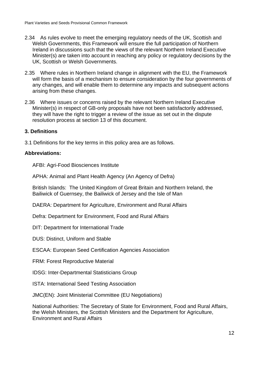- 2.34 As rules evolve to meet the emerging regulatory needs of the UK, Scottish and Welsh Governments, this Framework will ensure the full participation of Northern Ireland in discussions such that the views of the relevant Northern Ireland Executive Minister(s) are taken into account in reaching any policy or regulatory decisions by the UK, Scottish or Welsh Governments.
- 2.35 Where rules in Northern Ireland change in alignment with the EU, the Framework will form the basis of a mechanism to ensure consideration by the four governments of any changes, and will enable them to determine any impacts and subsequent actions arising from these changes.
- 2.36 Where issues or concerns raised by the relevant Northern Ireland Executive Minister(s) in respect of GB-only proposals have not been satisfactorily addressed, they will have the right to trigger a review of the issue as set out in the dispute resolution process at section 13 of this document.

#### **3. Definitions**

3.1 Definitions for the key terms in this policy area are as follows.

#### **Abbreviations:**

AFBI: Agri-Food Biosciences Institute

APHA: Animal and Plant Health Agency (An Agency of Defra)

British Islands: The United Kingdom of Great Britain and Northern Ireland, the Bailiwick of Guernsey, the Bailiwick of Jersey and the Isle of Man

DAERA: Department for Agriculture, Environment and Rural Affairs

Defra: Department for Environment, Food and Rural Affairs

DIT: Department for International Trade

DUS: Distinct, Uniform and Stable

ESCAA: European Seed Certification Agencies Association

FRM: Forest Reproductive Material

IDSG: Inter-Departmental Statisticians Group

ISTA: International Seed Testing Association

JMC(EN): Joint Ministerial Committee (EU Negotiations)

National Authorities: The Secretary of State for Environment, Food and Rural Affairs, the Welsh Ministers, the Scottish Ministers and the Department for Agriculture, Environment and Rural Affairs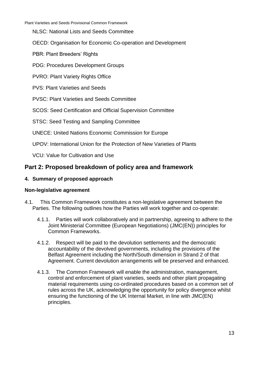NLSC: National Lists and Seeds Committee

OECD: Organisation for Economic Co-operation and Development

PBR: Plant Breeders' Rights

PDG: Procedures Development Groups

PVRO: Plant Variety Rights Office

PVS: Plant Varieties and Seeds

PVSC: Plant Varieties and Seeds Committee

SCOS: Seed Certification and Official Supervision Committee

STSC: Seed Testing and Sampling Committee

UNECE: United Nations Economic Commission for Europe

UPOV: International Union for the Protection of New Varieties of Plants

VCU: Value for Cultivation and Use

#### <span id="page-11-0"></span>**Part 2: Proposed breakdown of policy area and framework**

#### **4. Summary of proposed approach**

#### **Non-legislative agreement**

- 4.1. This Common Framework constitutes a non-legislative agreement between the Parties. The following outlines how the Parties will work together and co-operate:
	- 4.1.1. Parties will work collaboratively and in partnership, agreeing to adhere to the Joint Ministerial Committee (European Negotiations) (JMC(EN)) principles for Common Frameworks.
	- 4.1.2. Respect will be paid to the devolution settlements and the democratic accountability of the devolved governments, including the provisions of the Belfast Agreement including the North/South dimension in Strand 2 of that Agreement. Current devolution arrangements will be preserved and enhanced.
	- 4.1.3. The Common Framework will enable the administration, management, control and enforcement of plant varieties, seeds and other plant propagating material requirements using co-ordinated procedures based on a common set of rules across the UK, acknowledging the opportunity for policy divergence whilst ensuring the functioning of the UK Internal Market, in line with JMC(EN) principles.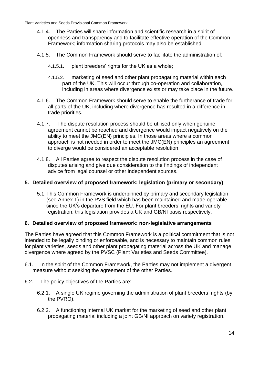- 4.1.4. The Parties will share information and scientific research in a spirit of openness and transparency and to facilitate effective operation of the Common Framework; information sharing protocols may also be established.
- 4.1.5. The Common Framework should serve to facilitate the administration of:
	- 4.1.5.1. plant breeders' rights for the UK as a whole;
	- 4.1.5.2. marketing of seed and other plant propagating material within each part of the UK. This will occur through co-operation and collaboration, including in areas where divergence exists or may take place in the future.
- 4.1.6. The Common Framework should serve to enable the furtherance of trade for all parts of the UK, including where divergence has resulted in a difference in trade priorities.
- 4.1.7. The dispute resolution process should be utilised only when genuine agreement cannot be reached and divergence would impact negatively on the ability to meet the JMC(EN) principles. In those areas where a common approach is not needed in order to meet the JMC(EN) principles an agreement to diverge would be considered an acceptable resolution.
- 4.1.8. All Parties agree to respect the dispute resolution process in the case of disputes arising and give due consideration to the findings of independent advice from legal counsel or other independent sources.

#### **5. Detailed overview of proposed framework: legislation (primary or secondary)**

5.1.This Common Framework is underpinned by primary and secondary legislation (see Annex 1) in the PVS field which has been maintained and made operable since the UK's departure from the EU. For plant breeders' rights and variety registration, this legislation provides a UK and GB/NI basis respectively.

#### **6. Detailed overview of proposed framework: non-legislative arrangements**

The Parties have agreed that this Common Framework is a political commitment that is not intended to be legally binding or enforceable, and is necessary to maintain common rules for plant varieties, seeds and other plant propagating material across the UK and manage divergence where agreed by the PVSC (Plant Varieties and Seeds Committee).

- 6.1. In the spirit of the Common Framework, the Parties may not implement a divergent measure without seeking the agreement of the other Parties.
- 6.2. The policy objectives of the Parties are:
	- 6.2.1. A single UK regime governing the administration of plant breeders' rights (by the PVRO).
	- 6.2.2. A functioning internal UK market for the marketing of seed and other plant propagating material including a joint GB/NI approach on variety registration.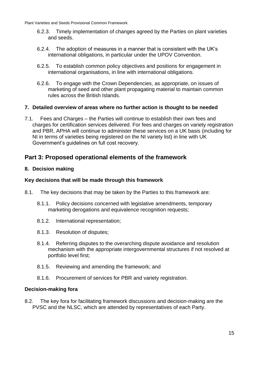- 6.2.3. Timely implementation of changes agreed by the Parties on plant varieties and seeds.
- 6.2.4. The adoption of measures in a manner that is consistent with the UK's international obligations, in particular under the UPOV Convention.
- 6.2.5. To establish common policy objectives and positions for engagement in international organisations, in line with international obligations.
- 6.2.6. To engage with the Crown Dependencies, as appropriate, on issues of marketing of seed and other plant propagating material to maintain common rules across the British Islands.

#### **7. Detailed overview of areas where no further action is thought to be needed**

7.1. Fees and Charges – the Parties will continue to establish their own fees and charges for certification services delivered. For fees and charges on variety registration and PBR, APHA will continue to administer these services on a UK basis (including for NI in terms of varieties being registered on the NI variety list) in line with UK Government's guidelines on full cost recovery.

#### <span id="page-13-0"></span>**Part 3: Proposed operational elements of the framework**

#### **8. Decision making**

#### **Key decisions that will be made through this framework**

- 8.1. The key decisions that may be taken by the Parties to this framework are:
	- 8.1.1. Policy decisions concerned with legislative amendments, temporary marketing derogations and equivalence recognition requests;
	- 8.1.2. International representation;
	- 8.1.3. Resolution of disputes;
	- 8.1.4. Referring disputes to the overarching dispute avoidance and resolution mechanism with the appropriate intergovernmental structures if not resolved at portfolio level first;
	- 8.1.5. Reviewing and amending the framework; and
	- 8.1.6. Procurement of services for PBR and variety registration.

#### **Decision-making fora**

8.2. The key fora for facilitating framework discussions and decision-making are the PVSC and the NLSC, which are attended by representatives of each Party.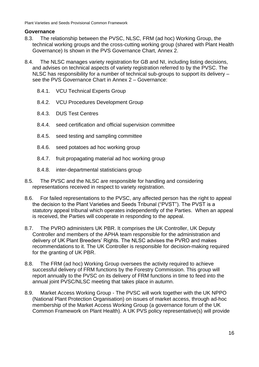#### **Governance**

- 8.3. The relationship between the PVSC, NLSC, FRM (ad hoc) Working Group, the technical working groups and the cross-cutting working group (shared with Plant Health Governance) Is shown in the PVS Governance Chart, Annex 2.
- 8.4. The NLSC manages variety registration for GB and NI, including listing decisions, and advises on technical aspects of variety registration referred to by the PVSC. The NLSC has responsibility for a number of technical sub-groups to support its delivery – see the PVS Governance Chart in Annex 2 – Governance:
	- 8.4.1. VCU Technical Experts Group
	- 8.4.2. VCU Procedures Development Group
	- 8.4.3. DUS Test Centres
	- 8.4.4. seed certification and official supervision committee
	- 8.4.5. seed testing and sampling committee
	- 8.4.6. seed potatoes ad hoc working group
	- 8.4.7. fruit propagating material ad hoc working group
	- 8.4.8. inter-departmental statisticians group
- 8.5. The PVSC and the NLSC are responsible for handling and considering representations received in respect to variety registration.
- 8.6. For failed representations to the PVSC, any affected person has the right to appeal the decision to the Plant Varieties and Seeds Tribunal ("PVST"). The PVST is a statutory appeal tribunal which operates independently of the Parties. When an appeal is received, the Parties will cooperate in responding to the appeal.
- 8.7. The PVRO administers UK PBR. It comprises the UK Controller, UK Deputy Controller and members of the APHA team responsible for the administration and delivery of UK Plant Breeders' Rights. The NLSC advises the PVRO and makes recommendations to it. The UK Controller is responsible for decision-making required for the granting of UK PBR.
- 8.8. The FRM (ad hoc) Working Group oversees the activity required to achieve successful delivery of FRM functions by the Forestry Commission. This group will report annually to the PVSC on its delivery of FRM functions in time to feed into the annual joint PVSC/NLSC meeting that takes place in autumn.
- 8.9. Market Access Working Group The PVSC will work together with the UK NPPO (National Plant Protection Organisation) on issues of market access, through ad-hoc membership of the Market Access Working Group (a governance forum of the UK Common Framework on Plant Health). A UK PVS policy representative(s) will provide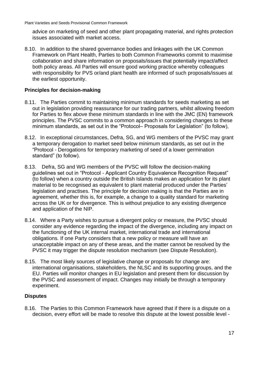advice on marketing of seed and other plant propagating material, and rights protection issues associated with market access.

8.10. In addition to the shared governance bodies and linkages with the UK Common Framework on Plant Health, Parties to both Common Frameworks commit to maximise collaboration and share information on proposals/issues that potentially impact/affect both policy areas. All Parties will ensure good working practice whereby colleagues with responsibility for PVS or/and plant health are informed of such proposals/issues at the earliest opportunity.

#### **Principles for decision-making**

- 8.11. The Parties commit to maintaining minimum standards for seeds marketing as set out in legislation providing reassurance for our trading partners, whilst allowing freedom for Parties to flex above these minimum standards in line with the JMC (EN) framework principles. The PVSC commits to a common approach in considering changes to these minimum standards, as set out in the "Protocol– Proposals for Legislation" (to follow),
- 8.12. In exceptional circumstances, Defra, SG, and WG members of the PVSC may grant a temporary derogation to market seed below minimum standards, as set out in the "Protocol - Derogations for temporary marketing of seed of a lower germination standard" (to follow).
- 8.13. Defra, SG and WG members of the PVSC will follow the decision-making guidelines set out in "Protocol - Applicant Country Equivalence Recognition Request" (to follow) when a country outside the British Islands makes an application for its plant material to be recognised as equivalent to plant material produced under the Parties' legislation and practises. The principle for decision making is that the Parties are in agreement, whether this is, for example, a change to a quality standard for marketing across the UK or for divergence. This is without prejudice to any existing divergence and application of the NIP.
- 8.14. Where a Party wishes to pursue a divergent policy or measure, the PVSC should consider any evidence regarding the impact of the divergence, including any impact on the functioning of the UK internal market, international trade and international obligations. If one Party considers that a new policy or measure will have an unacceptable impact on any of these areas, and the matter cannot be resolved by the PVSC it may trigger the dispute resolution mechanism (see Dispute Resolution).
- 8.15. The most likely sources of legislative change or proposals for change are: international organisations, stakeholders, the NLSC and its supporting groups, and the EU. Parties will monitor changes in EU legislation and present them for discussion by the PVSC and assessment of impact. Changes may initially be through a temporary experiment.

#### **Disputes**

8.16. The Parties to this Common Framework have agreed that if there is a dispute on a decision, every effort will be made to resolve this dispute at the lowest possible level -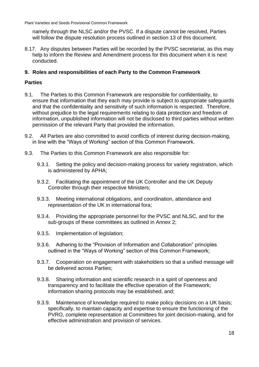namely through the NLSC and/or the PVSC. If a dispute cannot be resolved, Parties will follow the dispute resolution process outlined in section 13 of this document.

8.17. Any disputes between Parties will be recorded by the PVSC secretariat, as this may help to inform the Review and Amendment process for this document when it is next conducted.

#### **9. Roles and responsibilities of each Party to the Common Framework**

#### **Parties**

- 9.1. The Parties to this Common Framework are responsible for confidentiality, to ensure that information that they each may provide is subject to appropriate safeguards and that the confidentiality and sensitivity of such information is respected. Therefore, without prejudice to the legal requirements relating to data protection and freedom of information, unpublished information will not be disclosed to third parties without written permission of the relevant Party that provided the information.
- 9.2. All Parties are also committed to avoid conflicts of interest during decision-making, in line with the "Ways of Working" section of this Common Framework.
- 9.3. The Parties to this Common Framework are also responsible for:
	- 9.3.1. Setting the policy and decision-making process for variety registration, which is administered by APHA;
	- 9.3.2. Facilitating the appointment of the UK Controller and the UK Deputy Controller through their respective Ministers;
	- 9.3.3. Meeting international obligations, and coordination, attendance and representation of the UK in international fora;
	- 9.3.4. Providing the appropriate personnel for the PVSC and NLSC, and for the sub-groups of these committees as outlined in Annex 2;
	- 9.3.5. Implementation of legislation;
	- 9.3.6. Adhering to the "Provision of Information and Collaboration" principles outlined in the "Ways of Working" section of this Common Framework;
	- 9.3.7. Cooperation on engagement with stakeholders so that a unified message will be delivered across Parties;
	- 9.3.8. Sharing information and scientific research in a spirit of openness and transparency and to facilitate the effective operation of the Framework; information sharing protocols may be established, and;
	- 9.3.9. Maintenance of knowledge required to make policy decisions on a UK basis; specifically, to maintain capacity and expertise to ensure the functioning of the PVRO, complete representation at Committees for joint decision-making, and for effective administration and provision of services.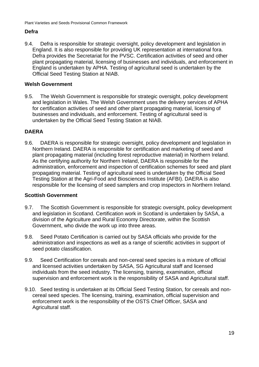#### **Defra**

9.4. Defra is responsible for strategic oversight, policy development and legislation in England. It is also responsible for providing UK representation at international fora. Defra provides the Secretariat for the PVSC. Certification activities of seed and other plant propagating material, licensing of businesses and individuals, and enforcement in England is undertaken by APHA. Testing of agricultural seed is undertaken by the Official Seed Testing Station at NIAB.

#### **Welsh Government**

9.5. The Welsh Government is responsible for strategic oversight, policy development and legislation in Wales. The Welsh Government uses the delivery services of APHA for certification activities of seed and other plant propagating material, licensing of businesses and individuals, and enforcement. Testing of agricultural seed is undertaken by the Official Seed Testing Station at NIAB.

#### **DAERA**

9.6. DAERA is responsible for strategic oversight, policy development and legislation in Northern Ireland. DAERA is responsible for certification and marketing of seed and plant propagating material (including forest reproductive material) in Northern Ireland. As the certifying authority for Northern Ireland, DAERA is responsible for the administration, enforcement and inspection of certification schemes for seed and plant propagating material. Testing of agricultural seed is undertaken by the Official Seed Testing Station at the Agri-Food and Biosciences Institute (AFBI). DAERA is also responsible for the licensing of seed samplers and crop inspectors in Northern Ireland.

#### **Scottish Government**

- 9.7. The Scottish Government is responsible for strategic oversight, policy development and legislation in Scotland. Certification work in Scotland is undertaken by SASA, a division of the Agriculture and Rural Economy Directorate, within the Scottish Government, who divide the work up into three areas.
- 9.8. Seed Potato Certification is carried out by SASA officials who provide for the administration and inspections as well as a range of scientific activities in support of seed potato classification.
- 9.9. Seed Certification for cereals and non-cereal seed species is a mixture of official and licensed activities undertaken by SASA, SG Agricultural staff and licensed individuals from the seed industry. The licensing, training, examination, official supervision and enforcement work is the responsibility of SASA and Agricultural staff.
- 9.10. Seed testing is undertaken at its Official Seed Testing Station, for cereals and noncereal seed species. The licensing, training, examination, official supervision and enforcement work is the responsibility of the OSTS Chief Officer, SASA and Agricultural staff.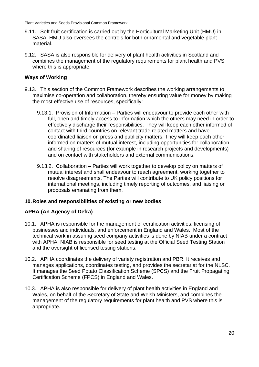- 9.11. Soft fruit certification is carried out by the Horticultural Marketing Unit (HMU) in SASA. HMU also oversees the controls for both ornamental and vegetable plant material.
- 9.12. SASA is also responsible for delivery of plant health activities in Scotland and combines the management of the regulatory requirements for plant health and PVS where this is appropriate.

#### **Ways of Working**

- 9.13. This section of the Common Framework describes the working arrangements to maximise co-operation and collaboration, thereby ensuring value for money by making the most effective use of resources, specifically:
	- 9.13.1. Provision of Information Parties will endeavour to provide each other with full, open and timely access to information which the others may need in order to effectively discharge their responsibilities. They will keep each other informed of contact with third countries on relevant trade related matters and have coordinated liaison on press and publicity matters. They will keep each other informed on matters of mutual interest, including opportunities for collaboration and sharing of resources (for example in research projects and developments) and on contact with stakeholders and external communications.
	- 9.13.2. Collaboration Parties will work together to develop policy on matters of mutual interest and shall endeavour to reach agreement, working together to resolve disagreements. The Parties will contribute to UK policy positions for international meetings, including timely reporting of outcomes, and liaising on proposals emanating from them.

#### **10.Roles and responsibilities of existing or new bodies**

#### **APHA (An Agency of Defra)**

- 10.1. APHA is responsible for the management of certification activities, licensing of businesses and individuals, and enforcement in England and Wales. Most of the technical work in assuring seed company activities is done by NIAB under a contract with APHA. NIAB is responsible for seed testing at the Official Seed Testing Station and the oversight of licensed testing stations.
- 10.2. APHA coordinates the delivery of variety registration and PBR. It receives and manages applications, coordinates testing, and provides the secretariat for the NLSC. It manages the Seed Potato Classification Scheme (SPCS) and the Fruit Propagating Certification Scheme (FPCS) in England and Wales.
- 10.3. APHA is also responsible for delivery of plant health activities in England and Wales, on behalf of the Secretary of State and Welsh Ministers, and combines the management of the regulatory requirements for plant health and PVS where this is appropriate.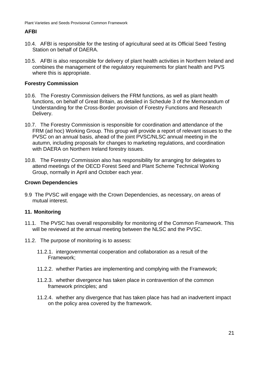#### **AFBI**

- 10.4. AFBI is responsible for the testing of agricultural seed at its Official Seed Testing Station on behalf of DAERA.
- 10.5. AFBI is also responsible for delivery of plant health activities in Northern Ireland and combines the management of the regulatory requirements for plant health and PVS where this is appropriate.

#### **Forestry Commission**

- 10.6. The Forestry Commission delivers the FRM functions, as well as plant health functions, on behalf of Great Britain, as detailed in Schedule 3 of the Memorandum of Understanding for the Cross-Border provision of Forestry Functions and Research Delivery.
- 10.7. The Forestry Commission is responsible for coordination and attendance of the FRM (ad hoc) Working Group. This group will provide a report of relevant issues to the PVSC on an annual basis, ahead of the joint PVSC/NLSC annual meeting in the autumn, including proposals for changes to marketing regulations, and coordination with DAERA on Northern Ireland forestry issues.
- 10.8. The Forestry Commission also has responsibility for arranging for delegates to attend meetings of the OECD Forest Seed and Plant Scheme Technical Working Group, normally in April and October each year.

#### **Crown Dependencies**

9.9 The PVSC will engage with the Crown Dependencies, as necessary, on areas of mutual interest.

#### **11. Monitoring**

- 11.1. The PVSC has overall responsibility for monitoring of the Common Framework. This will be reviewed at the annual meeting between the NLSC and the PVSC.
- 11.2. The purpose of monitoring is to assess:
	- 11.2.1. intergovernmental cooperation and collaboration as a result of the Framework;
	- 11.2.2. whether Parties are implementing and complying with the Framework;
	- 11.2.3. whether divergence has taken place in contravention of the common framework principles; and
	- 11.2.4. whether any divergence that has taken place has had an inadvertent impact on the policy area covered by the framework.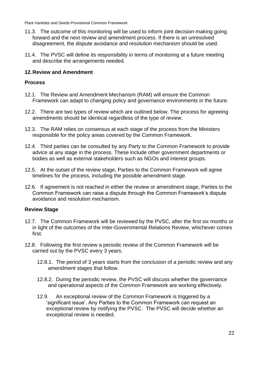- 11.3. The outcome of this monitoring will be used to inform joint decision-making going forward and the next review and amendment process. If there is an unresolved disagreement, the dispute avoidance and resolution mechanism should be used.
- 11.4. The PVSC will define its responsibility in terms of monitoring at a future meeting and describe the arrangements needed.

#### **12.Review and Amendment**

#### **Process**

- 12.1. The Review and Amendment Mechanism (RAM) will ensure the Common Framework can adapt to changing policy and governance environments in the future.
- 12.2. There are two types of review which are outlined below. The process for agreeing amendments should be identical regardless of the type of review.
- 12.3. The RAM relies on consensus at each stage of the process from the Ministers responsible for the policy areas covered by the Common Framework.
- 12.4. Third parties can be consulted by any Party to the Common Framework to provide advice at any stage in the process. These include other government departments or bodies as well as external stakeholders such as NGOs and interest groups.
- 12.5. At the outset of the review stage, Parties to the Common Framework will agree timelines for the process, including the possible amendment stage.
- 12.6. If agreement is not reached in either the review or amendment stage, Parties to the Common Framework can raise a dispute through the Common Framework's dispute avoidance and resolution mechanism.

#### **Review Stage**

- 12.7. The Common Framework will be reviewed by the PVSC, after the first six months or in light of the outcomes of the Inter-Governmental Relations Review, whichever comes first.
- 12.8. Following the first review a periodic review of the Common Framework will be carried out by the PVSC every 3 years.
	- 12.8.1. The period of 3 years starts from the conclusion of a periodic review and any amendment stages that follow.
	- 12.8.2. During the periodic review, the PVSC will discuss whether the governance and operational aspects of the Common Framework are working effectively.
	- 12.9. An exceptional review of the Common Framework is triggered by a 'significant issue'. Any Parties to the Common Framework can request an exceptional review by notifying the PVSC. The PVSC will decide whether an exceptional review is needed.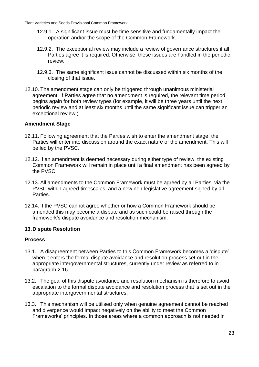- 12.9.1. A significant issue must be time sensitive and fundamentally impact the operation and/or the scope of the Common Framework.
- 12.9.2. The exceptional review may include a review of governance structures if all Parties agree it is required. Otherwise, these issues are handled in the periodic review.
- 12.9.3. The same significant issue cannot be discussed within six months of the closing of that issue.
- 12.10. The amendment stage can only be triggered through unanimous ministerial agreement. If Parties agree that no amendment is required, the relevant time period begins again for both review types (for example, it will be three years until the next periodic review and at least six months until the same significant issue can trigger an exceptional review.)

#### **Amendment Stage**

- 12.11. Following agreement that the Parties wish to enter the amendment stage, the Parties will enter into discussion around the exact nature of the amendment. This will be led by the PVSC.
- 12.12. If an amendment is deemed necessary during either type of review, the existing Common Framework will remain in place until a final amendment has been agreed by the PVSC.
- 12.13. All amendments to the Common Framework must be agreed by all Parties, via the PVSC within agreed timescales, and a new non-legislative agreement signed by all Parties.
- 12.14. If the PVSC cannot agree whether or how a Common Framework should be amended this may become a dispute and as such could be raised through the framework's dispute avoidance and resolution mechanism.

#### **13.Dispute Resolution**

#### **Process**

- 13.1. A disagreement between Parties to this Common Framework becomes a 'dispute' when it enters the formal dispute avoidance and resolution process set out in the appropriate intergovernmental structures, currently under review as referred to in paragraph 2.16.
- 13.2. The goal of this dispute avoidance and resolution mechanism is therefore to avoid escalation to the formal dispute avoidance and resolution process that is set out in the appropriate intergovernmental structures.
- 13.3. This mechanism will be utilised only when genuine agreement cannot be reached and divergence would impact negatively on the ability to meet the Common Frameworks' principles. In those areas where a common approach is not needed in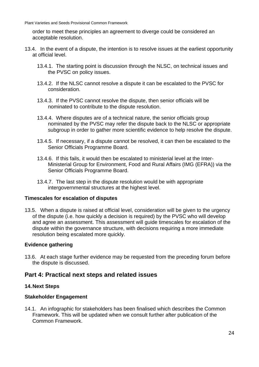order to meet these principles an agreement to diverge could be considered an acceptable resolution.

- 13.4. In the event of a dispute, the intention is to resolve issues at the earliest opportunity at official level.
	- 13.4.1. The starting point is discussion through the NLSC, on technical issues and the PVSC on policy issues.
	- 13.4.2. If the NLSC cannot resolve a dispute it can be escalated to the PVSC for consideration.
	- 13.4.3. If the PVSC cannot resolve the dispute, then senior officials will be nominated to contribute to the dispute resolution.
	- 13.4.4. Where disputes are of a technical nature, the senior officials group nominated by the PVSC may refer the dispute back to the NLSC or appropriate subgroup in order to gather more scientific evidence to help resolve the dispute.
	- 13.4.5. If necessary, if a dispute cannot be resolved, it can then be escalated to the Senior Officials Programme Board.
	- 13.4.6. If this fails, it would then be escalated to ministerial level at the Inter-Ministerial Group for Environment, Food and Rural Affairs (IMG (EFRA)) via the Senior Officials Programme Board.
	- 13.4.7. The last step in the dispute resolution would be with appropriate intergovernmental structures at the highest level.

#### **Timescales for escalation of disputes**

13.5. When a dispute is raised at official level, consideration will be given to the urgency of the dispute (i.e. how quickly a decision is required) by the PVSC who will develop and agree an assessment. This assessment will guide timescales for escalation of the dispute within the governance structure, with decisions requiring a more immediate resolution being escalated more quickly.

#### **Evidence gathering**

13.6. At each stage further evidence may be requested from the preceding forum before the dispute is discussed.

#### <span id="page-22-0"></span>**Part 4: Practical next steps and related issues**

#### **14.Next Steps**

#### **Stakeholder Engagement**

14.1. An infographic for stakeholders has been finalised which describes the Common Framework. This will be updated when we consult further after publication of the Common Framework.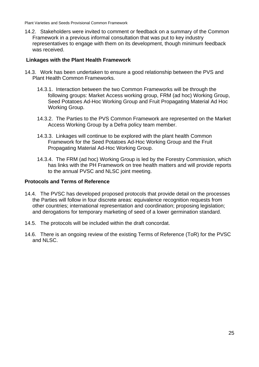14.2. Stakeholders were invited to comment or feedback on a summary of the Common Framework in a previous informal consultation that was put to key industry representatives to engage with them on its development, though minimum feedback was received.

#### **Linkages with the Plant Health Framework**

- 14.3. Work has been undertaken to ensure a good relationship between the PVS and Plant Health Common Frameworks.
	- 14.3.1. Interaction between the two Common Frameworks will be through the following groups: Market Access working group, FRM (ad hoc) Working Group, Seed Potatoes Ad-Hoc Working Group and Fruit Propagating Material Ad Hoc Working Group.
	- 14.3.2. The Parties to the PVS Common Framework are represented on the Market Access Working Group by a Defra policy team member.
	- 14.3.3. Linkages will continue to be explored with the plant health Common Framework for the Seed Potatoes Ad-Hoc Working Group and the Fruit Propagating Material Ad-Hoc Working Group.
	- 14.3.4. The FRM (ad hoc) Working Group is led by the Forestry Commission, which has links with the PH Framework on tree health matters and will provide reports to the annual PVSC and NLSC joint meeting.

#### **Protocols and Terms of Reference**

- 14.4. The PVSC has developed proposed protocols that provide detail on the processes the Parties will follow in four discrete areas: equivalence recognition requests from other countries; international representation and coordination; proposing legislation; and derogations for temporary marketing of seed of a lower germination standard.
- 14.5. The protocols will be included within the draft concordat.
- 14.6. There is an ongoing review of the existing Terms of Reference (ToR) for the PVSC and NLSC.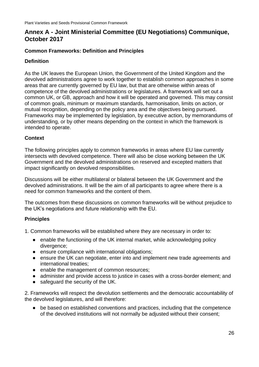#### <span id="page-24-0"></span>**Annex A - Joint Ministerial Committee (EU Negotiations) Communique, October 2017**

#### **Common Frameworks: Definition and Principles**

#### **Definition**

As the UK leaves the European Union, the Government of the United Kingdom and the devolved administrations agree to work together to establish common approaches in some areas that are currently governed by EU law, but that are otherwise within areas of competence of the devolved administrations or legislatures. A framework will set out a common UK, or GB, approach and how it will be operated and governed. This may consist of common goals, minimum or maximum standards, harmonisation, limits on action, or mutual recognition, depending on the policy area and the objectives being pursued. Frameworks may be implemented by legislation, by executive action, by memorandums of understanding, or by other means depending on the context in which the framework is intended to operate.

#### **Context**

The following principles apply to common frameworks in areas where EU law currently intersects with devolved competence. There will also be close working between the UK Government and the devolved administrations on reserved and excepted matters that impact significantly on devolved responsibilities.

Discussions will be either multilateral or bilateral between the UK Government and the devolved administrations. It will be the aim of all participants to agree where there is a need for common frameworks and the content of them.

The outcomes from these discussions on common frameworks will be without prejudice to the UK's negotiations and future relationship with the EU.

#### **Principles**

- 1. Common frameworks will be established where they are necessary in order to:
	- enable the functioning of the UK internal market, while acknowledging policy divergence;
	- ensure compliance with international obligations;
	- ensure the UK can negotiate, enter into and implement new trade agreements and international treaties;
	- enable the management of common resources:
	- administer and provide access to justice in cases with a cross-border element; and
	- safeguard the security of the UK.

2. Frameworks will respect the devolution settlements and the democratic accountability of the devolved legislatures, and will therefore:

● be based on established conventions and practices, including that the competence of the devolved institutions will not normally be adjusted without their consent;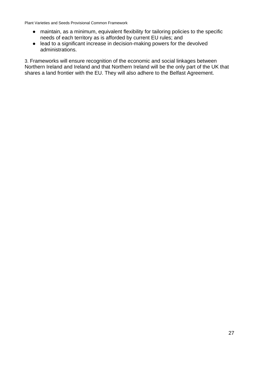- maintain, as a minimum, equivalent flexibility for tailoring policies to the specific needs of each territory as is afforded by current EU rules; and
- lead to a significant increase in decision-making powers for the devolved administrations.

3. Frameworks will ensure recognition of the economic and social linkages between Northern Ireland and Ireland and that Northern Ireland will be the only part of the UK that shares a land frontier with the EU. They will also adhere to the Belfast Agreement.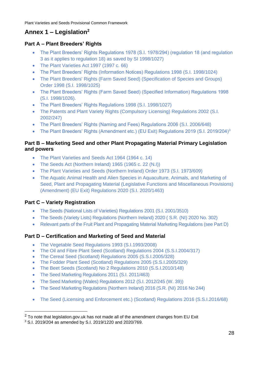#### <span id="page-26-0"></span>**Annex 1 – Legislation<sup>2</sup>**

#### **Part A – Plant Breeders' Rights**

- [The Plant Breeders' Rights Regulations 1978 \(S.I. 1978/294\) \(regulation 18 \(and regulation](https://www.legislation.gov.uk/uksi/1978/294/contents/made)  [3 as it applies to regulation 18\) as saved by SI 1998/1027\)](https://www.legislation.gov.uk/uksi/1978/294/contents/made)
- [The Plant Varieties Act 1997](http://www.legislation.gov.uk/ukpga/1997/66) (1997 c. 66)
- [The Plant Breeders' Rights \(Information Notices\) Regulations 1998](https://www.legislation.gov.uk/uksi/1998/1024/contents/made) (S.I. 1998/1024)
- The Plant Breeders' Rights (Farm Saved Seed) (Specification of Species and Groups) [Order 1998](https://www.legislation.gov.uk/uksi/1998/1025/contents/made) (S.I. 1998/1025)
- [The Plant Breeders' Rights \(Farm Saved Seed\) \(Specified Information\) Regulations 1998](https://www.legislation.gov.uk/uksi/1998/1026/contents/made) (S.I. 1998/1026).
- [The Plant Breeders' Rights Regulations 1998](https://www.legislation.gov.uk/uksi/1998/1027/contents/made) (S.I. 1998/1027)
- [The Patents and Plant Variety Rights \(Compulsory Licensing\) Regulations 2002](http://www.legislation.gov.uk/uksi/2002/247/made) (S.I. 2002/247)
- [The Plant Breeders' Rights \(Naming and Fees\) Regulations 2006](http://www.legislation.gov.uk/uksi/2006/648/contents/made) (S.I. 2006/648)
- [The Plant Breeders' Rights \(Amendment etc.\) \(EU Exit\) Regulations 2019 \(S.I. 2019/204\)](https://www.legislation.gov.uk/uksi/2019/204/contents)<sup>3</sup>

#### **Part B – Marketing Seed and other Plant Propagating Material Primary Legislation and powers**

- [The Plant Varieties and Seeds Act 1964](http://www.legislation.gov.uk/ukpga/1964/14) (1964 c. 14)
- [The Seeds Act \(Northern Ireland\) 1965](http://www.legislation.gov.uk/apni/1965/22) (1965 c. 22 (N.I))
- [The Plant Varieties and Seeds \(Northern Ireland\) Order 1973](https://www.legislation.gov.uk/uksi/1973/609/contents/made) (S.I. 1973/609)
- The Aquatic Animal Health and Alien Species in Aquaculture, Animals, and Marketing of [Seed, Plant and Propagating Material \(Legislative Functions and Miscellaneous Provisions\)](https://www.legislation.gov.uk/uksi/2020/1463/contents/made)  [\(Amendment\) \(EU Exit\) Regulations 2020](https://www.legislation.gov.uk/uksi/2020/1463/contents/made) (S.I. 2020/1463)

#### **Part C – Variety Registration**

- [The Seeds \(National Lists of Varieties\) Regulations 2001](http://www.legislation.gov.uk/uksi/2001/3510/contents) (S.I. 2001/3510)
- [The Seeds \(Variety Lists\) Regulations \(Northern Ireland\) 2020](https://www.legislation.gov.uk/nisr/2020/302/contents/made) ( S.R. (NI) 2020 No. 302)
- Relevant parts of the Fruit Plant and Propagating Material Marketing Regulations (see Part D)

#### **Part D – Certification and Marketing of Seed and Material**

- [The Vegetable Seed Regulations 1993](https://www.legislation.gov.uk/uksi/1993/2008/contents/made) (S.I.1993/2008)
- [The Oil and Fibre Plant Seed \(Scotland\) Regulations 2004](http://www.legislation.gov.uk/ssi/2004/317/contents/made) (S.S.I.2004/317)
- [The Cereal Seed \(Scotland\) Regulations 2005](https://www.legislation.gov.uk/ssi/2005/328/contents/made) (S.S.I.2005/328)
- [The Fodder Plant Seed \(Scotland\) Regulations 2005](https://www.legislation.gov.uk/ssi/2005/329/contents/made) (S.S.I.2005/329)
- [The Beet Seeds \(Scotland\) No 2 Regulations 2010](https://www.legislation.gov.uk/ssi/2010/148/contents/made) (S.S.I.2010/148)
- Th[e Seed Marketing Regulations 2011 \(S.I. 2011/463\)](http://www.legislation.gov.uk/uksi/2011/463)
- [The Seed Marketing \(Wales\) Regulations 2012 \(S.I. 2012/245](https://www.legislation.gov.uk/wsi/2012/245/contents/made) (W. 39))
- Th[e Seed Marketing Regulations \(Northern Ireland\) 2016](http://www.legislation.gov.uk/nisr/2016/244/contents) (S.R. (NI) 2016 No 244)
- [The Seed \(Licensing and Enforcement etc.\) \(Scotland\) Regulations 2016](http://www.legislation.gov.uk/ssi/2016/68/made) (S.S.I.2016/68)

 $2$  To note that legislation.gov.uk has not made all of the amendment changes from EU Exit

<sup>3</sup> S.I. 2019/204 as amended by S.I. 2019/1220 and 2020/769.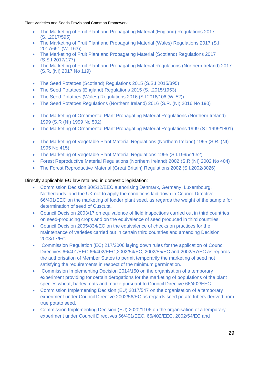- [The Marketing of Fruit Plant and Propagating Material \(England\) Regulations 2017](https://www.legislation.gov.uk/uksi/2017/595/contents/made) (S.I.2017/595)
- [The Marketing of Fruit Plant and Propagating Material \(Wales\) Regulations 2017](https://www.legislation.gov.uk/wsi/2017/691/contents/made) (S.I. 2017/691 (W. 163))
- [The Marketing of Fruit Plant and Propagating Material \(Scotland\) Regulations 2017](https://www.legislation.gov.uk/ssi/2017/177/contents/made) (S.S.I.2017/177)
- [The Marketing of Fruit Plant and Propagating Material Regulations \(Northern Ireland\) 2017](https://www.legislation.gov.uk/nisr/2017/119/contents/made) (S.R. (NI) 2017 No 119)
- [The Seed Potatoes \(Scotland\) Regulations 2015](http://www.legislation.gov.uk/ssi/2015/395/contents) (S.S.I 2015/395)
- [The Seed Potatoes \(England\) Regulations 2015](http://www.legislation.gov.uk/uksi/2015/1953/contents/made) (S.I.2015/1953)
- [The Seed Potatoes \(Wales\) Regulations 2016](http://www.legislation.gov.uk/wsi/2016/106/contents/made) (S.I 2016/106 (W. 52))
- [The Seed Potatoes Regulations \(Northern Ireland\) 2016](http://www.legislation.gov.uk/nisr/2016/190/contents) (S.R. (NI) 2016 No 190)
- [The Marketing of Ornamental Plant Propagating Material Regulations \(Northern Ireland\)](https://www.legislation.gov.uk/nisr/1999/502/contents/made)  [1999 \(S.R \(NI\) 1999 No 502\)](https://www.legislation.gov.uk/nisr/1999/502/contents/made)
- [The Marketing of Ornamental Plant Propagating Material Regulations 1999](https://www.legislation.gov.uk/uksi/1999/1801/regulation/1/made) (S.I.1999/1801)
- [The Marketing of Vegetable Plant Material Regulations \(Northern Ireland\) 1995 \(S.R. \(NI\)](https://www.legislation.gov.uk/nisr/1995/415/contents/made)  [1995 No 415\)](https://www.legislation.gov.uk/nisr/1995/415/contents/made)
- [The Marketing of Vegetable Plant Material Regulations 1995](https://www.legislation.gov.uk/uksi/1995/2652/regulation/1/made) (S.I.1995/2652)
- [Forest Reproductive Material Regulations \(Northern Ireland\) 2002](https://www.legislation.gov.uk/nisr/2002/404/contents/made) (S.R.(NI) 2002 No 404)
- [The Forest Reproductive Material \(Great Britain\) Regulations 2002](https://www.legislation.gov.uk/uksi/2002/3026/regulation/1) (S.I.2002/3026)

#### Directly applicable EU law retained in domestic legislation:

- [Commission Decision 80/512/EEC](https://www.legislation.gov.uk/eudn/1980/512/contents) [authorising Denmark, Germany, Luxembourg,](https://www.legislation.gov.uk/eudn/1980/512/contents/adopted)  [Netherlands, and the UK not to apply the conditions laid down in Council Directive](https://www.legislation.gov.uk/eudn/1980/512/contents/adopted)  [66/401/EEC on the marketing of fodder plant seed, as regards the weight of the sample for](https://www.legislation.gov.uk/eudn/1980/512/contents/adopted)  [determination of seed of Cuscuta.](https://www.legislation.gov.uk/eudn/1980/512/contents/adopted)
- Council Decision 2003/17 on equivalence of field inspections carried out in third countries [on seed-producing crops and on the equivalence of seed produced in third countries.](https://www.legislation.gov.uk/eudn/2003/17/contents)
- [Council Decision 2005/834/EC](https://www.legislation.gov.uk/eudn/2005/834/contents) [on the equivalence of checks on practices for the](https://www.legislation.gov.uk/eudn/2005/834/contents)  [maintenance of varieties carried out in certain third countries and amending Decision](https://www.legislation.gov.uk/eudn/2005/834/contents)  [2003/17/EC.](https://www.legislation.gov.uk/eudn/2005/834/contents)
- [Commission Regulation \(EC\) 217/2006](https://www.legislation.gov.uk/eur/2006/217/contents) [laying down rules for the application of Council](https://www.legislation.gov.uk/eur/2006/217/contents)  [Directives 66/401/EEC,66/402/EEC,2002/54/EC, 2002/55/EC and 2002/57/EC as regards](https://www.legislation.gov.uk/eur/2006/217/contents)  [the authorisation of Member States to permit temporarily the marketing of seed not](https://www.legislation.gov.uk/eur/2006/217/contents)  [satisfying the requirements in respect of the minimum germination.](https://www.legislation.gov.uk/eur/2006/217/contents)
- [Commission Implementing Decision 2014/150 on the organisation of a temporary](https://www.legislation.gov.uk/eudn/2014/150/contents)  [experiment providing for certain derogations for the marketing of populations of the plant](https://www.legislation.gov.uk/eudn/2014/150/contents)  [species wheat, barley, oats and maize pursuant to Council Directive 66/402/EEC.](https://www.legislation.gov.uk/eudn/2014/150/contents)
- [Commission Implementing Decision \(EU\) 2017/547](https://www.legislation.gov.uk/eudn/2017/547/contents) on the organisation of a temporary [experiment under Council Directive 2002/56/EC as regards seed potato tubers derived from](https://www.legislation.gov.uk/eudn/2017/547/contents)  [true potato seed.](https://www.legislation.gov.uk/eudn/2017/547/contents)
- [Commission Implementing Decision](https://www.legislation.gov.uk/eudn/2020/1106/contents) (EU) 2020/1106 on the organisation of a temporary [experiment under Council Directives 66/401/EEC, 66/402/EEC, 2002/54/EC and](https://www.legislation.gov.uk/eudn/2020/1106/contents)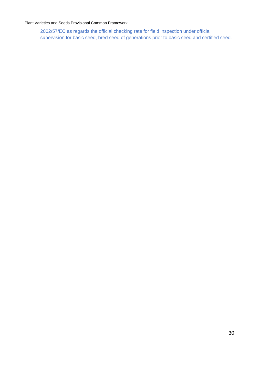[2002/57/EC as regards the official checking rate for field inspection under official](https://www.legislation.gov.uk/eudn/2020/1106/contents)  [supervision for basic seed, bred seed of generations prior to basic seed and certified seed.](https://www.legislation.gov.uk/eudn/2020/1106/contents)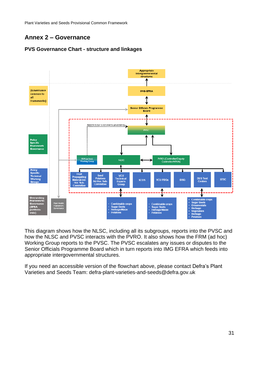#### <span id="page-29-0"></span>**Annex 2 – Governance**

#### **PVS Governance Chart - structure and linkages**



This diagram shows how the NLSC, including all its subgroups, reports into the PVSC and how the NLSC and PVSC interacts with the PVRO. It also shows how the FRM (ad hoc) Working Group reports to the PVSC. The PVSC escalates any issues or disputes to the Senior Officials Programme Board which in turn reports into IMG EFRA which feeds into appropriate intergovernmental structures.

If you need an accessible version of the flowchart above, please contact Defra's Plant Varieties and Seeds Team: defra-plant-varieties-and-seeds@defra.gov.uk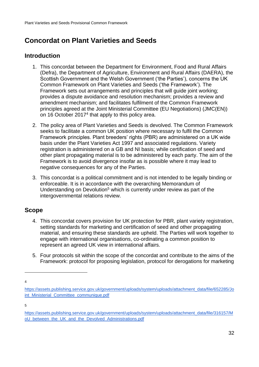#### <span id="page-30-0"></span>**Concordat on Plant Varieties and Seeds**

#### <span id="page-30-1"></span>**Introduction**

- 1. This concordat between the Department for Environment, Food and Rural Affairs (Defra), the Department of Agriculture, Environment and Rural Affairs (DAERA), the Scottish Government and the Welsh Government ('the Parties'), concerns the UK Common Framework on Plant Varieties and Seeds ('the Framework'). The Framework sets out arrangements and principles that will guide joint working; provides a dispute avoidance and resolution mechanism; provides a review and amendment mechanism; and facilitates fulfilment of the Common Framework principles agreed at the Joint Ministerial Committee (EU Negotiations) (JMC(EN)) on 16 October 2017<sup>4</sup> that apply to this policy area.
- 2. The policy area of Plant Varieties and Seeds is devolved. The Common Framework seeks to facilitate a common UK position where necessary to fulfil the Common Framework principles. Plant breeders' rights (PBR) are administered on a UK wide basis under the Plant Varieties Act 1997 and associated regulations. Variety registration is administered on a GB and NI basis; while certification of seed and other plant propagating material is to be administered by each party. The aim of the Framework is to avoid divergence insofar as is possible where it may lead to negative consequences for any of the Parties.
- 3. This concordat is a political commitment and is not intended to be legally binding or enforceable. It is in accordance with the overarching Memorandum of Understanding on Devolution<sup>5</sup> which is currently under review as part of the intergovernmental relations review.

#### <span id="page-30-2"></span>**Scope**

- 4. This concordat covers provision for UK protection for PBR, plant variety registration, setting standards for marketing and certification of seed and other propagating material, and ensuring these standards are upheld. The Parties will work together to engage with international organisations, co-ordinating a common position to represent an agreed UK view in international affairs.
- 5. Four protocols sit within the scope of the concordat and contribute to the aims of the Framework: protocol for proposing legislation, protocol for derogations for marketing

5

<sup>4</sup>

[https://assets.publishing.service.gov.uk/government/uploads/system/uploads/attachment\\_data/file/652285/Jo](https://assets.publishing.service.gov.uk/government/uploads/system/uploads/attachment_data/file/652285/Joint_Ministerial_Committee_communique.pdf) [int\\_Ministerial\\_Committee\\_communique.pdf](https://assets.publishing.service.gov.uk/government/uploads/system/uploads/attachment_data/file/652285/Joint_Ministerial_Committee_communique.pdf)

[https://assets.publishing.service.gov.uk/government/uploads/system/uploads/attachment\\_data/file/316157/M](https://assets.publishing.service.gov.uk/government/uploads/system/uploads/attachment_data/file/316157/MoU_between_the_UK_and_the_Devolved_Administrations.pdf) oU between the UK and the Devolved Administrations.pdf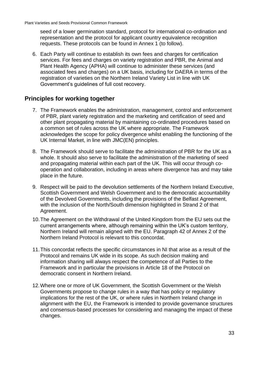seed of a lower germination standard, protocol for international co-ordination and representation and the protocol for applicant country equivalence recognition requests. These protocols can be found in Annex 1 (to follow).

6. Each Party will continue to establish its own fees and charges for certification services. For fees and charges on variety registration and PBR, the Animal and Plant Health Agency (APHA) will continue to administer these services (and associated fees and charges) on a UK basis, including for DAERA in terms of the registration of varieties on the Northern Ireland Variety List in line with UK Government's guidelines of full cost recovery.

#### <span id="page-31-0"></span>**Principles for working together**

- 7. The Framework enables the administration, management, control and enforcement of PBR, plant variety registration and the marketing and certification of seed and other plant propagating material by maintaining co-ordinated procedures based on a common set of rules across the UK where appropriate. The Framework acknowledges the scope for policy divergence whilst enabling the functioning of the UK Internal Market, in line with JMC(EN) principles.
- 8. The Framework should serve to facilitate the administration of PBR for the UK as a whole. It should also serve to facilitate the administration of the marketing of seed and propagating material within each part of the UK. This will occur through cooperation and collaboration, including in areas where divergence has and may take place in the future.
- 9. Respect will be paid to the devolution settlements of the Northern Ireland Executive, Scottish Government and Welsh Government and to the democratic accountability of the Devolved Governments, including the provisions of the Belfast Agreement, with the inclusion of the North/South dimension highlighted in Strand 2 of that Agreement.
- 10.The Agreement on the Withdrawal of the United Kingdom from the EU sets out the current arrangements where, although remaining within the UK's custom territory, Northern Ireland will remain aligned with the EU. Paragraph 42 of Annex 2 of the Northern Ireland Protocol is relevant to this concordat.
- 11.This concordat reflects the specific circumstances in NI that arise as a result of the Protocol and remains UK wide in its scope. As such decision making and information sharing will always respect the competence of all Parties to the Framework and in particular the provisions in Article 18 of the Protocol on democratic consent in Northern Ireland.
- 12.Where one or more of UK Government, the Scottish Government or the Welsh Governments propose to change rules in a way that has policy or regulatory implications for the rest of the UK, or where rules in Northern Ireland change in alignment with the EU, the Framework is intended to provide governance structures and consensus-based processes for considering and managing the impact of these changes.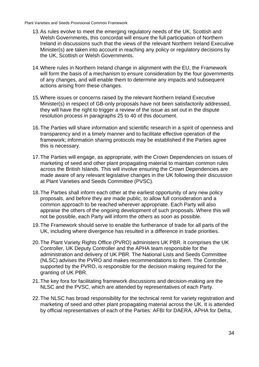- 13.As rules evolve to meet the emerging regulatory needs of the UK, Scottish and Welsh Governments, this concordat will ensure the full participation of Northern Ireland in discussions such that the views of the relevant Northern Ireland Executive Minister(s) are taken into account in reaching any policy or regulatory decisions by the UK, Scottish or Welsh Governments.
- 14.Where rules in Northern Ireland change in alignment with the EU, the Framework will form the basis of a mechanism to ensure consideration by the four governments of any changes, and will enable them to determine any impacts and subsequent actions arising from these changes.
- 15.Where issues or concerns raised by the relevant Northern Ireland Executive Minister(s) in respect of GB-only proposals have not been satisfactorily addressed, they will have the right to trigger a review of the issue as set out in the dispute resolution process in paragraphs 25 to 40 of this document.
- 16.The Parties will share information and scientific research in a spirit of openness and transparency and in a timely manner and to facilitate effective operation of the framework; information sharing protocols may be established if the Parties agree this is necessary.
- 17.The Parties will engage, as appropriate, with the Crown Dependencies on issues of marketing of seed and other plant propagating material to maintain common rules across the British Islands. This will involve ensuring the Crown Dependencies are made aware of any relevant legislative changes in the UK following their discussion at Plant Varieties and Seeds Committee (PVSC).
- 18.The Parties shall inform each other at the earliest opportunity of any new policy proposals, and before they are made public, to allow full consideration and a common approach to be reached wherever appropriate. Each Party will also appraise the others of the ongoing development of such proposals. Where this will not be possible, each Party will inform the others as soon as possible.
- 19.The Framework should serve to enable the furtherance of trade for all parts of the UK, including where divergence has resulted in a difference in trade priorities.
- 20. The Plant Variety Rights Office (PVRO) administers UK PBR. It comprises the UK Controller, UK Deputy Controller and the APHA team responsible for the administration and delivery of UK PBR. The National Lists and Seeds Committee (NLSC) advises the PVRO and makes recommendations to them. The Controller, supported by the PVRO, is responsible for the decision making required for the granting of UK PBR.
- 21.The key fora for facilitating framework discussions and decision-making are the NLSC and the PVSC, which are attended by representatives of each Party.
- 22.The NLSC has broad responsibility for the technical remit for variety registration and marketing of seed and other plant propagating material across the UK. It is attended by official representatives of each of the Parties: AFBI for DAERA, APHA for Defra,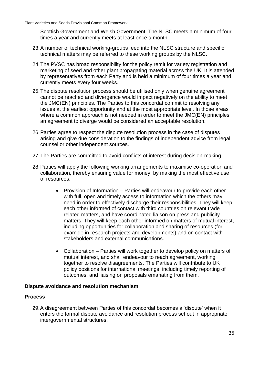Scottish Government and Welsh Government. The NLSC meets a minimum of four times a year and currently meets at least once a month.

- 23.A number of technical working-groups feed into the NLSC structure and specific technical matters may be referred to these working groups by the NLSC.
- 24.The PVSC has broad responsibility for the policy remit for variety registration and marketing of seed and other plant propagating material across the UK. It is attended by representatives from each Party and is held a minimum of four times a year and currently meets every four weeks.
- 25.The dispute resolution process should be utilised only when genuine agreement cannot be reached and divergence would impact negatively on the ability to meet the JMC(EN) principles. The Parties to this concordat commit to resolving any issues at the earliest opportunity and at the most appropriate level. In those areas where a common approach is not needed in order to meet the JMC(EN) principles an agreement to diverge would be considered an acceptable resolution.
- 26.Parties agree to respect the dispute resolution process in the case of disputes arising and give due consideration to the findings of independent advice from legal counsel or other independent sources.
- 27.The Parties are committed to avoid conflicts of interest during decision-making.
- 28.Parties will apply the following working arrangements to maximise co-operation and collaboration, thereby ensuring value for money, by making the most effective use of resources:
	- Provision of Information Parties will endeavour to provide each other with full, open and timely access to information which the others may need in order to effectively discharge their responsibilities. They will keep each other informed of contact with third countries on relevant trade related matters, and have coordinated liaison on press and publicity matters. They will keep each other informed on matters of mutual interest, including opportunities for collaboration and sharing of resources (for example in research projects and developments) and on contact with stakeholders and external communications.
	- Collaboration Parties will work together to develop policy on matters of mutual interest, and shall endeavour to reach agreement, working together to resolve disagreements. The Parties will contribute to UK policy positions for international meetings, including timely reporting of outcomes, and liaising on proposals emanating from them.

#### **Dispute avoidance and resolution mechanism**

#### **Process**

29.A disagreement between Parties of this concordat becomes a 'dispute' when it enters the formal dispute avoidance and resolution process set out in appropriate intergovernmental structures.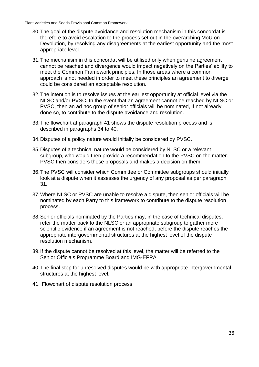- 30.The goal of the dispute avoidance and resolution mechanism in this concordat is therefore to avoid escalation to the process set out in the overarching MoU on Devolution, by resolving any disagreements at the earliest opportunity and the most appropriate level.
- 31.The mechanism in this concordat will be utilised only when genuine agreement cannot be reached and divergence would impact negatively on the Parties' ability to meet the Common Framework principles. In those areas where a common approach is not needed in order to meet these principles an agreement to diverge could be considered an acceptable resolution.
- 32.The intention is to resolve issues at the earliest opportunity at official level via the NLSC and/or PVSC*.* In the event that an agreement cannot be reached by NLSC or PVSC, then an ad hoc group of senior officials will be nominated, if not already done so, to contribute to the dispute avoidance and resolution.
- 33.The flowchart at paragraph 41 shows the dispute resolution process and is described in paragraphs 34 to 40.
- 34.Disputes of a policy nature would initially be considered by PVSC.
- 35.Disputes of a technical nature would be considered by NLSC or a relevant subgroup, who would then provide a recommendation to the PVSC on the matter. PVSC then considers these proposals and makes a decision on them.
- 36.The PVSC will consider which Committee or Committee subgroups should initially look at a dispute when it assesses the urgency of any proposal as per paragraph 31.
- 37.Where NLSC or PVSC are unable to resolve a dispute, then senior officials will be nominated by each Party to this framework to contribute to the dispute resolution process.
- 38.Senior officials nominated by the Parties may, in the case of technical disputes, refer the matter back to the NLSC or an appropriate subgroup to gather more scientific evidence if an agreement is not reached, before the dispute reaches the appropriate intergovernmental structures at the highest level of the dispute resolution mechanism.
- 39.If the dispute cannot be resolved at this level, the matter will be referred to the Senior Officials Programme Board and IMG-EFRA
- 40.The final step for unresolved disputes would be with appropriate intergovernmental structures at the highest level.
- 41. Flowchart of dispute resolution process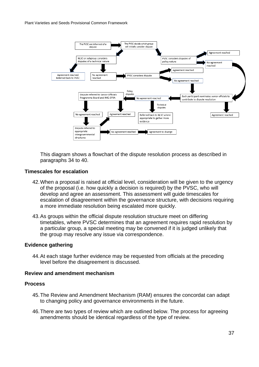

This diagram shows a flowchart of the dispute resolution process as described in paragraphs 34 to 40.

#### **Timescales for escalation**

- 42.When a proposal is raised at official level, consideration will be given to the urgency of the proposal (i.e. how quickly a decision is required) by the PVSC, who will develop and agree an assessment. This assessment will guide timescales for escalation of disagreement within the governance structure, with decisions requiring a more immediate resolution being escalated more quickly.
- 43.As groups within the official dispute resolution structure meet on differing timetables, where PVSC determines that an agreement requires rapid resolution by a particular group, a special meeting may be convened if it is judged unlikely that the group may resolve any issue via correspondence.

#### **Evidence gathering**

44.At each stage further evidence may be requested from officials at the preceding level before the disagreement is discussed.

#### **Review and amendment mechanism**

#### **Process**

- 45.The Review and Amendment Mechanism (RAM) ensures the concordat can adapt to changing policy and governance environments in the future.
- 46.There are two types of review which are outlined below. The process for agreeing amendments should be identical regardless of the type of review.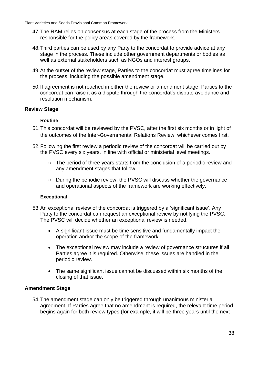- 47.The RAM relies on consensus at each stage of the process from the Ministers responsible for the policy areas covered by the framework.
- 48.Third parties can be used by any Party to the concordat to provide advice at any stage in the process. These include other government departments or bodies as well as external stakeholders such as NGOs and interest groups.
- 49.At the outset of the review stage, Parties to the concordat must agree timelines for the process, including the possible amendment stage.
- 50.If agreement is not reached in either the review or amendment stage, Parties to the concordat can raise it as a dispute through the concordat's dispute avoidance and resolution mechanism.

#### **Review Stage**

#### **Routine**

- 51.This concordat will be reviewed by the PVSC, after the first six months or in light of the outcomes of the Inter-Governmental Relations Review, whichever comes first.
- 52.Following the first review a periodic review of the concordat will be carried out by the PVSC every six years, in line with official or ministerial level meetings.
	- The period of three years starts from the conclusion of a periodic review and any amendment stages that follow.
	- During the periodic review, the PVSC will discuss whether the governance and operational aspects of the framework are working effectively.

#### **Exceptional**

- 53.An exceptional review of the concordat is triggered by a 'significant issue'. Any Party to the concordat can request an exceptional review by notifying the PVSC. The PVSC will decide whether an exceptional review is needed.
	- A significant issue must be time sensitive and fundamentally impact the operation and/or the scope of the framework.
	- The exceptional review may include a review of governance structures if all Parties agree it is required. Otherwise, these issues are handled in the periodic review.
	- The same significant issue cannot be discussed within six months of the closing of that issue.

#### **Amendment Stage**

54.The amendment stage can only be triggered through unanimous ministerial agreement. If Parties agree that no amendment is required, the relevant time period begins again for both review types (for example, it will be three years until the next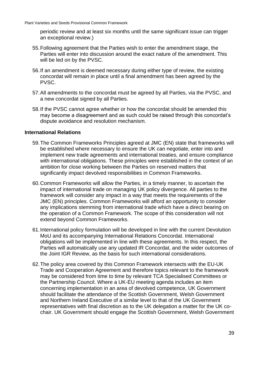periodic review and at least six months until the same significant issue can trigger an exceptional review.)

- 55.Following agreement that the Parties wish to enter the amendment stage, the Parties will enter into discussion around the exact nature of the amendment. This will be led on by the PVSC.
- 56.If an amendment is deemed necessary during either type of review, the existing concordat will remain in place until a final amendment has been agreed by the PVSC.
- 57.All amendments to the concordat must be agreed by all Parties, via the PVSC, and a new concordat signed by all Parties.
- 58.If the PVSC cannot agree whether or how the concordat should be amended this may become a disagreement and as such could be raised through this concordat's dispute avoidance and resolution mechanism.

#### **International Relations**

- 59.The Common Frameworks Principles agreed at JMC (EN) state that frameworks will be established where necessary to ensure the UK can negotiate, enter into and implement new trade agreements and international treaties, and ensure compliance with international obligations. These principles were established in the context of an ambition for close working between the Parties on reserved matters that significantly impact devolved responsibilities in Common Frameworks.
- 60.Common Frameworks will allow the Parties, in a timely manner, to ascertain the impact of international trade on managing UK policy divergence. All parties to the framework will consider any impact in a way that meets the requirements of the JMC (EN) principles. Common Frameworks will afford an opportunity to consider any implications stemming from international trade which have a direct bearing on the operation of a Common Framework. The scope of this consideration will not extend beyond Common Frameworks.
- 61.International policy formulation will be developed in line with the current Devolution MoU and its accompanying International Relations Concordat. International obligations will be implemented in line with these agreements. In this respect, the Parties will automatically use any updated IR Concordat, and the wider outcomes of the Joint IGR Review, as the basis for such international considerations.
- 62.The policy area covered by this Common Framework intersects with the EU-UK Trade and Cooperation Agreement and therefore topics relevant to the framework may be considered from time to time by relevant TCA Specialised Committees or the Partnership Council. Where a UK-EU meeting agenda includes an item concerning implementation in an area of devolved competence, UK Government should facilitate the attendance of the Scottish Government, Welsh Government and Northern Ireland Executive of a similar level to that of the UK Government representatives with final discretion as to the UK delegation a matter for the UK cochair. UK Government should engage the Scottish Government, Welsh Government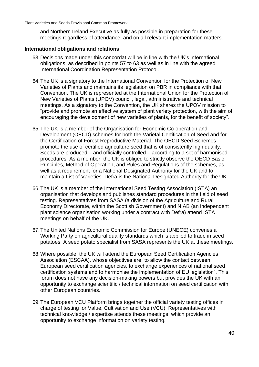and Northern Ireland Executive as fully as possible in preparation for these meetings regardless of attendance, and on all relevant implementation matters.

#### **International obligations and relations**

- 63.Decisions made under this concordat will be in line with the UK's international obligations, as described in points 57 to 63 as well as in line with the agreed International Coordination Representation Protocol.
- 64.The UK is a signatory to the International Convention for the Protection of New Varieties of Plants and maintains its legislation on PBR in compliance with that Convention. The UK is represented at the International Union for the Protection of New Varieties of Plants (UPOV) council, legal, administrative and technical meetings. As a signatory to the Convention, the UK shares the UPOV mission to "provide and promote an effective system of plant variety protection, with the aim of encouraging the development of new varieties of plants, for the benefit of society".
- 65.The UK is a member of the Organisation for Economic Co-operation and Development (OECD) schemes for both the Varietal Certification of Seed and for the Certification of Forest Reproductive Material. The OECD Seed Schemes promote the use of certified agriculture seed that is of consistently high quality. Seeds are produced – and officially controlled – according to a set of harmonised procedures. As a member, the UK is obliged to strictly observe the OECD Basic Principles, Method of Operation, and Rules and Regulations of the schemes, as well as a requirement for a National Designated Authority for the UK and to maintain a List of Varieties. Defra is the National Designated Authority for the UK.
- 66.The UK is a member of the International Seed Testing Association (ISTA) an organisation that develops and publishes standard procedures in the field of seed testing. Representatives from SASA (a division of the Agriculture and Rural Economy Directorate, within the Scottish Government) and NIAB (an independent plant science organisation working under a contract with Defra) attend ISTA meetings on behalf of the UK.
- 67.The United Nations Economic Commission for Europe (UNECE) convenes a Working Party on agricultural quality standards which is applied to trade in seed potatoes. A seed potato specialist from SASA represents the UK at these meetings.
- 68.Where possible, the UK will attend the European Seed Certification Agencies Association (ESCAA), whose objectives are "to allow the contact between European seed certification agencies, to exchange experiences of national seed certification systems and to harmonise the implementation of EU legislation". This forum does not have any decision-making powers but provides the UK with an opportunity to exchange scientific / technical information on seed certification with other European countries.
- 69.The European VCU Platform brings together the official variety testing offices in charge of testing for Value, Cultivation and Use (VCU). Representatives with technical knowledge / expertise attends these meetings, which provide an opportunity to exchange information on variety testing.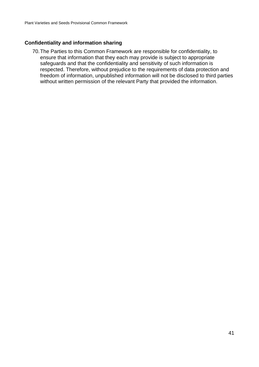#### **Confidentiality and information sharing**

70.The Parties to this Common Framework are responsible for confidentiality, to ensure that information that they each may provide is subject to appropriate safeguards and that the confidentiality and sensitivity of such information is respected. Therefore, without prejudice to the requirements of data protection and freedom of information, unpublished information will not be disclosed to third parties without written permission of the relevant Party that provided the information.